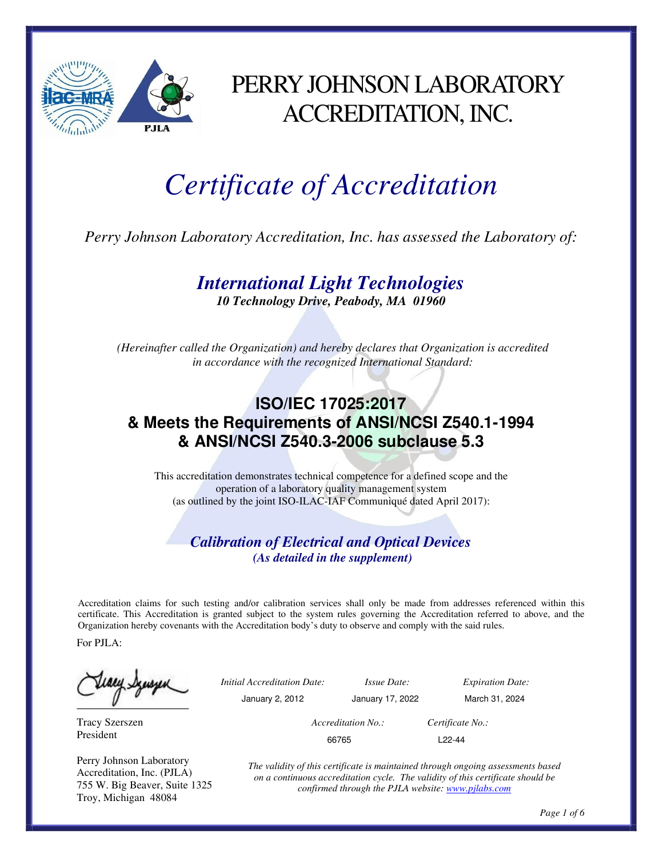

## PERRYJOHNSON LABORATORY ACCREDITATION, INC.

# *Certificate of Accreditation*

*Perry Johnson Laboratory Accreditation, Inc. has assessed the Laboratory of:*

## *International Light Technologies*

*10 Technology Drive, Peabody, MA 01960*

*(Hereinafter called the Organization) and hereby declares that Organization is accredited in accordance with the recognized International Standard:*

### **ISO/IEC 17025:2017 & Meets the Requirements of ANSI/NCSI Z540.1-1994 & ANSI/NCSI Z540.3-2006 subclause 5.3**

This accreditation demonstrates technical competence for a defined scope and the operation of a laboratory quality management system (as outlined by the joint ISO-ILAC-IAF Communiqué dated April 2017):

#### *Calibration of Electrical and Optical Devices (As detailed in the supplement)*

Accreditation claims for such testing and/or calibration services shall only be made from addresses referenced within this certificate. This Accreditation is granted subject to the system rules governing the Accreditation referred to above, and the Organization hereby covenants with the Accreditation body's duty to observe and comply with the said rules.

For PJLA:

Tracy Szerszen President

Perry Johnson Laboratory Accreditation, Inc. (PJLA) 755 W. Big Beaver, Suite 1325 Troy, Michigan 48084

*Initial Accreditation Date: Issue Date: Expiration Date:* January 2, 2012 January 17, 2022 March 31, 2024

*Accreditation No.: Certificate No.:* 66765 L22-44

*The validity of this certificate is maintained through ongoing assessments based on a continuous accreditation cycle. The validity of this certificate should be confirmed through the PJLA website: www.pjlabs.com*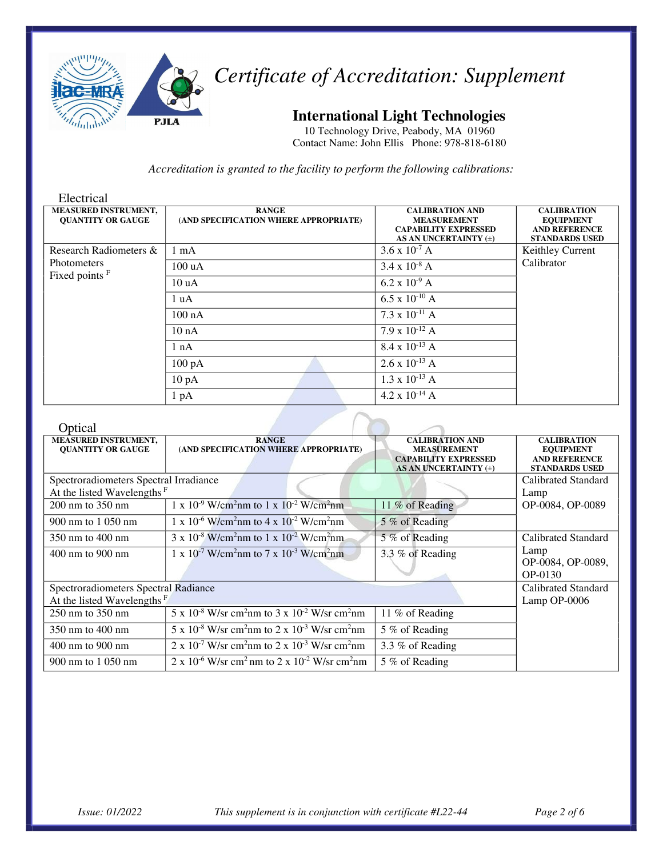

#### **International Light Technologies**

10 Technology Drive, Peabody, MA 01960 Contact Name: John Ellis Phone: 978-818-6180

*Accreditation is granted to the facility to perform the following calibrations:*

| Electrical                                              |                                                       |                                                                                                          |                                                                                         |
|---------------------------------------------------------|-------------------------------------------------------|----------------------------------------------------------------------------------------------------------|-----------------------------------------------------------------------------------------|
| <b>MEASURED INSTRUMENT,</b><br><b>OUANTITY OR GAUGE</b> | <b>RANGE</b><br>(AND SPECIFICATION WHERE APPROPRIATE) | <b>CALIBRATION AND</b><br><b>MEASUREMENT</b><br><b>CAPABILITY EXPRESSED</b><br>AS AN UNCERTAINTY $(\pm)$ | <b>CALIBRATION</b><br><b>EQUIPMENT</b><br><b>AND REFERENCE</b><br><b>STANDARDS USED</b> |
| Research Radiometers &                                  | $1 \text{ mA}$                                        | $3.6 \times 10^{-7}$ A                                                                                   | Keithley Current                                                                        |
| <b>Photometers</b>                                      | 100 uA                                                | $3.4 \times 10^{-8}$ A                                                                                   | Calibrator                                                                              |
| Fixed points <sup>F</sup>                               | 10 uA                                                 | $6.2 \times 10^{-9}$ A                                                                                   |                                                                                         |
|                                                         | 1 uA                                                  | 6.5 x $10^{-10}$ A                                                                                       |                                                                                         |
|                                                         | $100 \text{ nA}$                                      | $7.3 \times 10^{-11}$ A                                                                                  |                                                                                         |
|                                                         | 10 nA                                                 | 7.9 x $10^{-12}$ A                                                                                       |                                                                                         |
|                                                         | 1 nA                                                  | $8.4 \times 10^{-13}$ A                                                                                  |                                                                                         |
|                                                         | $100\ \mathrm{pA}$                                    | $2.6 \times 10^{-13}$ A                                                                                  |                                                                                         |
|                                                         | $10\ \mathrm{pA}$                                     | $1.3 \times 10^{-13}$ A                                                                                  |                                                                                         |
|                                                         | 1 pA                                                  | 4.2 x $10^{-14}$ A                                                                                       |                                                                                         |

 $\overline{\phantom{a}}$ 

#### Optical

| <b>O</b> bucal                         |                                                                                                          |                             |                       |
|----------------------------------------|----------------------------------------------------------------------------------------------------------|-----------------------------|-----------------------|
| <b>MEASURED INSTRUMENT,</b>            | <b>RANGE</b>                                                                                             | <b>CALIBRATION AND</b>      | <b>CALIBRATION</b>    |
| <b>QUANTITY OR GAUGE</b>               | (AND SPECIFICATION WHERE APPROPRIATE)                                                                    | <b>MEASUREMENT</b>          | <b>EQUIPMENT</b>      |
|                                        |                                                                                                          | <b>CAPABILITY EXPRESSED</b> | <b>AND REFERENCE</b>  |
|                                        |                                                                                                          | AS AN UNCERTAINTY (±)       | <b>STANDARDS USED</b> |
| Spectroradiometers Spectral Irradiance |                                                                                                          |                             | Calibrated Standard   |
| At the listed Wavelengths <sup>F</sup> |                                                                                                          |                             | Lamp                  |
| $200 \text{ nm}$ to $350 \text{ nm}$   | $1 \times 10^{-9}$ W/cm <sup>2</sup> nm to $1 \times 10^{-2}$ W/cm <sup>2</sup> nm                       | 11 % of Reading             | OP-0084, OP-0089      |
| 900 nm to 1 050 nm                     | $1 \times 10^{-6}$ W/cm <sup>2</sup> nm to $4 \times 10^{-2}$ W/cm <sup>2</sup> nm                       | 5 % of Reading              |                       |
| 350 nm to 400 nm                       | $3 \times 10^{-8}$ W/cm <sup>2</sup> nm to $1 \times 10^{-2}$ W/cm <sup>2</sup> nm                       | 5 % of Reading              | Calibrated Standard   |
| 400 nm to 900 nm                       | $1 \times 10^{-7}$ W/cm <sup>2</sup> nm to 7 x 10 <sup>-3</sup> W/cm <sup>2</sup> nm                     | 3.3 % of Reading            | Lamp                  |
|                                        |                                                                                                          |                             | OP-0084, OP-0089,     |
|                                        |                                                                                                          |                             | OP-0130               |
| Spectroradiometers Spectral Radiance   |                                                                                                          |                             | Calibrated Standard   |
| At the listed Wavelengths <sup>F</sup> |                                                                                                          |                             | Lamp OP-0006          |
| 250 nm to 350 nm                       | $5 \times 10^{-8}$ W/sr cm <sup>2</sup> nm to $3 \times 10^{-2}$ W/sr cm <sup>2</sup> nm                 | 11 % of Reading             |                       |
| 350 nm to 400 nm                       | $\frac{1}{5}$ x 10 <sup>-8</sup> W/sr cm <sup>2</sup> nm to 2 x 10 <sup>-3</sup> W/sr cm <sup>2</sup> nm | 5 % of Reading              |                       |
| $400 \text{ nm}$ to $900 \text{ nm}$   | $2 \times 10^{-7}$ W/sr cm <sup>2</sup> nm to $2 \times 10^{-3}$ W/sr cm <sup>2</sup> nm                 | 3.3 % of Reading            |                       |
| 900 nm to 1 050 nm                     | $2 \times 10^{-6}$ W/sr cm <sup>2</sup> nm to $2 \times 10^{-2}$ W/sr cm <sup>2</sup> nm                 | 5 % of Reading              |                       |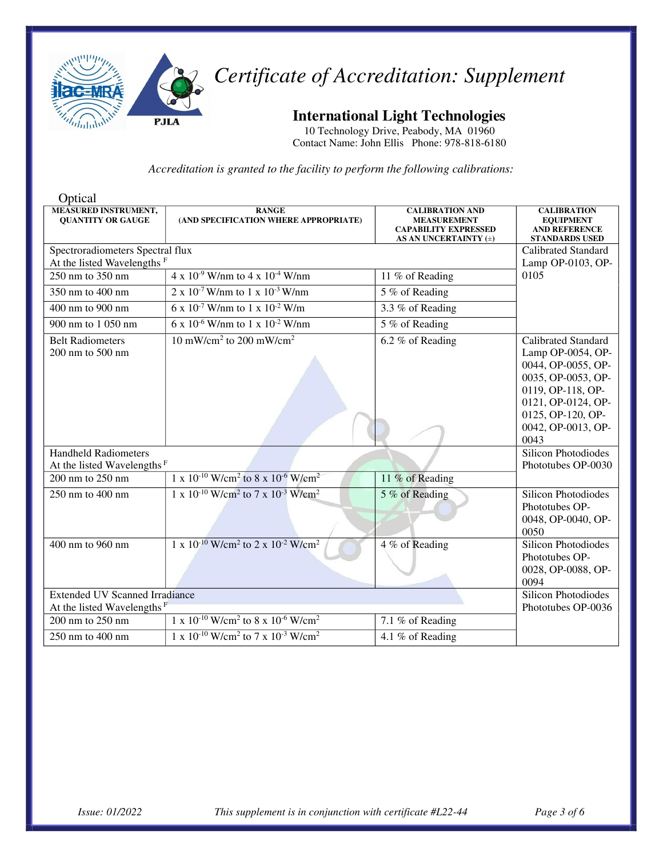

**International Light Technologies**

10 Technology Drive, Peabody, MA 01960 Contact Name: John Ellis Phone: 978-818-6180

| Optical                                                 |                                                                                   |                                                                                                      |                                                                                                                                                                                                |
|---------------------------------------------------------|-----------------------------------------------------------------------------------|------------------------------------------------------------------------------------------------------|------------------------------------------------------------------------------------------------------------------------------------------------------------------------------------------------|
| <b>MEASURED INSTRUMENT,</b><br><b>OUANTITY OR GAUGE</b> | <b>RANGE</b><br>(AND SPECIFICATION WHERE APPROPRIATE)                             | <b>CALIBRATION AND</b><br><b>MEASUREMENT</b><br><b>CAPABILITY EXPRESSED</b><br>AS AN UNCERTAINTY (±) | <b>CALIBRATION</b><br><b>EQUIPMENT</b><br><b>AND REFERENCE</b><br><b>STANDARDS USED</b>                                                                                                        |
| Spectroradiometers Spectral flux                        |                                                                                   |                                                                                                      | Calibrated Standard                                                                                                                                                                            |
| At the listed Wavelengths F                             |                                                                                   |                                                                                                      | Lamp OP-0103, OP-                                                                                                                                                                              |
| 250 nm to $350$ nm                                      | $4 \times 10^{-9}$ W/nm to $4 \times 10^{-4}$ W/nm                                | 11 % of Reading                                                                                      | 0105                                                                                                                                                                                           |
| 350 nm to 400 nm                                        | $2 \times 10^{-7}$ W/nm to 1 x $10^{-3}$ W/nm                                     | 5 % of Reading                                                                                       |                                                                                                                                                                                                |
| 400 nm to 900 nm                                        | $6 \times 10^{-7}$ W/nm to 1 x $10^{-2}$ W/m                                      | 3.3 % of Reading                                                                                     |                                                                                                                                                                                                |
| 900 nm to 1 050 nm                                      | 6 x 10 <sup>-6</sup> W/nm to 1 x 10 <sup>-2</sup> W/nm                            | 5 % of Reading                                                                                       |                                                                                                                                                                                                |
| <b>Belt Radiometers</b><br>200 nm to 500 nm             | $10 \text{ mW/cm}^2$ to 200 mW/cm <sup>2</sup>                                    | 6.2 % of Reading                                                                                     | <b>Calibrated Standard</b><br>Lamp $OP-0054$ , $OP-$<br>0044, OP-0055, OP-<br>0035, OP-0053, OP-<br>0119, OP-118, OP-<br>0121, OP-0124, OP-<br>0125, OP-120, OP-<br>0042, OP-0013, OP-<br>0043 |
| <b>Handheld Radiometers</b>                             |                                                                                   |                                                                                                      | <b>Silicon Photodiodes</b>                                                                                                                                                                     |
| At the listed Wavelengths <sup>F</sup>                  |                                                                                   |                                                                                                      | Phototubes OP-0030                                                                                                                                                                             |
| 200 nm to 250 nm                                        | $1 \times 10^{-10}$ W/cm <sup>2</sup> to 8 x 10 <sup>-6</sup> W/cm <sup>2</sup>   | 11 % of Reading                                                                                      |                                                                                                                                                                                                |
| 250 nm to 400 nm                                        | $1 \times 10^{-10}$ W/cm <sup>2</sup> to 7 x $10^{-3}$ W/cm <sup>2</sup>          | 5 % of Reading                                                                                       | <b>Silicon Photodiodes</b><br>Phototubes OP-<br>0048, OP-0040, OP-<br>0050                                                                                                                     |
| $400$ nm to $960$ nm                                    | $1 \times 10^{-10}$ W/cm <sup>2</sup> to 2 x $10^{-2}$ W/cm <sup>2</sup>          | 4 % of Reading                                                                                       | <b>Silicon Photodiodes</b><br>Phototubes OP-<br>0028, OP-0088, OP-<br>0094                                                                                                                     |
| <b>Extended UV Scanned Irradiance</b>                   |                                                                                   |                                                                                                      | <b>Silicon Photodiodes</b>                                                                                                                                                                     |
| At the listed Wavelengths $F$                           |                                                                                   |                                                                                                      | Phototubes OP-0036                                                                                                                                                                             |
| 200 nm to 250 nm                                        | $1 \times 10^{-10}$ W/cm <sup>2</sup> to 8 x 10 <sup>-6</sup> W/cm <sup>2</sup>   | 7.1 % of Reading                                                                                     |                                                                                                                                                                                                |
| 250 nm to 400 nm                                        | 1 x 10 <sup>-10</sup> W/cm <sup>2</sup> to 7 x 10 <sup>-3</sup> W/cm <sup>2</sup> | 4.1 % of Reading                                                                                     |                                                                                                                                                                                                |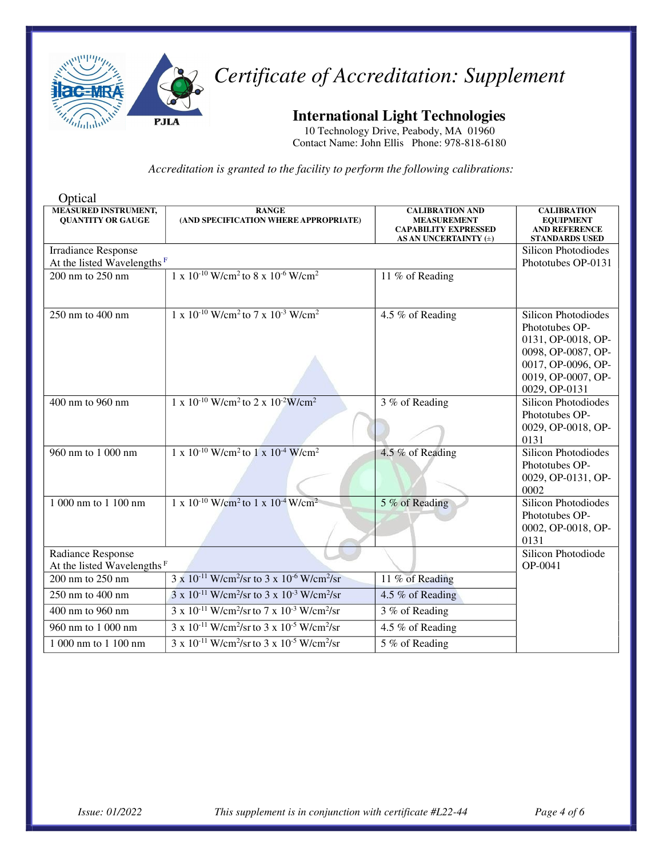

**International Light Technologies**

10 Technology Drive, Peabody, MA 01960 Contact Name: John Ellis Phone: 978-818-6180

| Optical                                                     |                                                                                       |                                                                                                      |                                                                                                                                                       |
|-------------------------------------------------------------|---------------------------------------------------------------------------------------|------------------------------------------------------------------------------------------------------|-------------------------------------------------------------------------------------------------------------------------------------------------------|
| <b>MEASURED INSTRUMENT,</b><br><b>QUANTITY OR GAUGE</b>     | <b>RANGE</b><br>(AND SPECIFICATION WHERE APPROPRIATE)                                 | <b>CALIBRATION AND</b><br><b>MEASUREMENT</b><br><b>CAPABILITY EXPRESSED</b><br>AS AN UNCERTAINTY (±) | <b>CALIBRATION</b><br><b>EQUIPMENT</b><br><b>AND REFERENCE</b><br><b>STANDARDS USED</b>                                                               |
| <b>Irradiance Response</b>                                  |                                                                                       |                                                                                                      | <b>Silicon Photodiodes</b>                                                                                                                            |
| At the listed Wavelengths <sup>F</sup>                      |                                                                                       |                                                                                                      | Phototubes OP-0131                                                                                                                                    |
| 200 nm to 250 nm                                            | $1 \times 10^{-10}$ W/cm <sup>2</sup> to 8 x $10^{-6}$ W/cm <sup>2</sup>              | 11 % of Reading                                                                                      |                                                                                                                                                       |
| $250$ nm to $400$ nm                                        | $1 \times 10^{-10}$ W/cm <sup>2</sup> to $7 \times 10^{-3}$ W/cm <sup>2</sup>         | 4.5 % of Reading                                                                                     | <b>Silicon Photodiodes</b><br>Phototubes OP-<br>0131, OP-0018, OP-<br>0098, OP-0087, OP-<br>0017, OP-0096, OP-<br>0019, OP-0007, OP-<br>0029, OP-0131 |
| 400 nm to 960 nm                                            | $1 \times 10^{-10}$ W/cm <sup>2</sup> to 2 x $10^{-2}$ W/cm <sup>2</sup>              | 3 % of Reading                                                                                       | <b>Silicon Photodiodes</b><br>Phototubes OP-<br>0029, OP-0018, OP-<br>0131                                                                            |
| 960 nm to 1 000 nm                                          | $1 \times 10^{-10}$ W/cm <sup>2</sup> to $1 \times 10^{-4}$ W/cm <sup>2</sup>         | 4.5 % of Reading                                                                                     | <b>Silicon Photodiodes</b><br>Phototubes OP-<br>0029, OP-0131, OP-<br>0002                                                                            |
| 1 000 nm to 1 100 nm                                        | $1 \times 10^{-10}$ W/cm <sup>2</sup> to $1 \times 10^{-4}$ W/cm <sup>2</sup>         | 5 % of Reading                                                                                       | <b>Silicon Photodiodes</b><br>Phototubes OP-<br>0002, OP-0018, OP-<br>0131                                                                            |
| Radiance Response<br>At the listed Wavelengths <sup>F</sup> |                                                                                       |                                                                                                      | Silicon Photodiode<br>OP-0041                                                                                                                         |
| 200 nm to 250 nm                                            | $3 \times 10^{-11}$ W/cm <sup>2</sup> /sr to $3 \times 10^{-6}$ W/cm <sup>2</sup> /sr | 11 % of Reading                                                                                      |                                                                                                                                                       |
| 250 nm to 400 nm                                            | $3 \times 10^{-11}$ W/cm <sup>2</sup> /sr to $3 \times 10^{-3}$ W/cm <sup>2</sup> /sr | 4.5 % of Reading                                                                                     |                                                                                                                                                       |
| 400 nm to 960 nm                                            | $3 \times 10^{-11}$ W/cm <sup>2</sup> /sr to $7 \times 10^{-3}$ W/cm <sup>2</sup> /sr | 3 % of Reading                                                                                       |                                                                                                                                                       |
| 960 nm to 1 000 nm                                          | $3 \times 10^{-11}$ W/cm <sup>2</sup> /sr to $3 \times 10^{-5}$ W/cm <sup>2</sup> /sr | 4.5 % of Reading                                                                                     |                                                                                                                                                       |
| 1 000 nm to 1 100 nm                                        | $3 \times 10^{-11}$ W/cm <sup>2</sup> /sr to $3 \times 10^{-5}$ W/cm <sup>2</sup> /sr | $\overline{5\%}$ of Reading                                                                          |                                                                                                                                                       |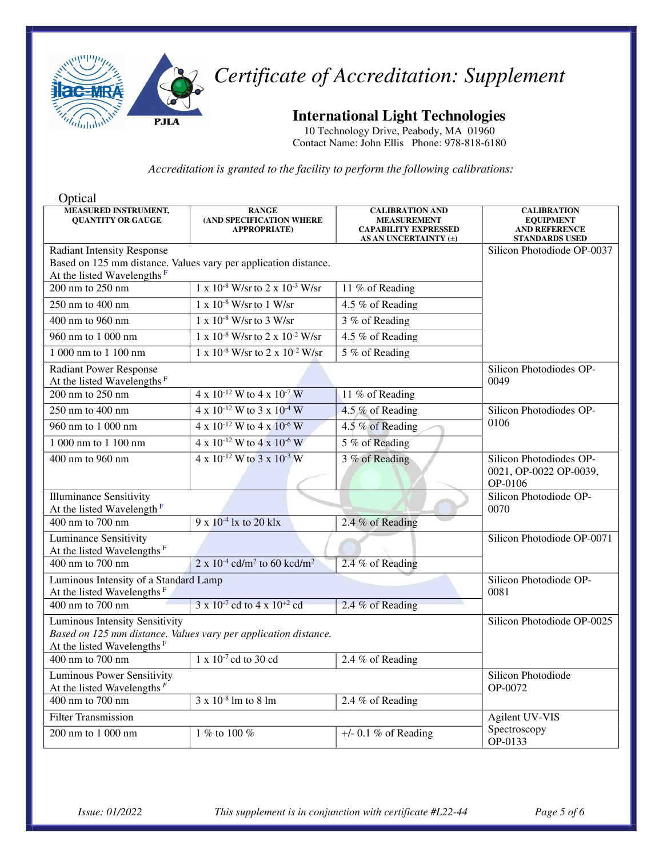

**International Light Technologies**

10 Technology Drive, Peabody, MA 01960 Contact Name: John Ellis Phone: 978-818-6180

| Optical                                                                                                                                     |                                                                 |                                                                                                      |                                                                                         |
|---------------------------------------------------------------------------------------------------------------------------------------------|-----------------------------------------------------------------|------------------------------------------------------------------------------------------------------|-----------------------------------------------------------------------------------------|
| <b>MEASURED INSTRUMENT,</b><br><b>QUANTITY OR GAUGE</b>                                                                                     | <b>RANGE</b><br>(AND SPECIFICATION WHERE<br><b>APPROPRIATE)</b> | <b>CALIBRATION AND</b><br><b>MEASUREMENT</b><br><b>CAPABILITY EXPRESSED</b><br>AS AN UNCERTAINTY (±) | <b>CALIBRATION</b><br><b>EQUIPMENT</b><br><b>AND REFERENCE</b><br><b>STANDARDS USED</b> |
| <b>Radiant Intensity Response</b>                                                                                                           |                                                                 |                                                                                                      | Silicon Photodiode OP-0037                                                              |
|                                                                                                                                             | Based on 125 mm distance. Values vary per application distance. |                                                                                                      |                                                                                         |
| At the listed Wavelengths <sup>F</sup>                                                                                                      |                                                                 |                                                                                                      |                                                                                         |
| $200 \text{ nm}$ to $250 \text{ nm}$                                                                                                        | $1 \times 10^{-8}$ W/sr to $2 \times 10^{-3}$ W/sr              | 11 % of Reading                                                                                      |                                                                                         |
| 250 nm to $400 \ \mathrm{nm}$                                                                                                               | $1 \times 10^{-8}$ W/sr to $1$ W/sr                             | 4.5 % of Reading                                                                                     |                                                                                         |
| 400 nm to 960 nm                                                                                                                            | $1 \times 10^{-8}$ W/sr to 3 W/sr                               | 3 % of Reading                                                                                       |                                                                                         |
| 960 nm to 1 000 nm                                                                                                                          | $1 \times 10^{-8}$ W/sr to $2 \times 10^{-2}$ W/sr              | 4.5 % of Reading                                                                                     |                                                                                         |
| 1 000 nm to 1 100 nm                                                                                                                        | $1 \times 10^{-8}$ W/sr to $2 \times 10^{-2}$ W/sr              | 5 % of Reading                                                                                       |                                                                                         |
| <b>Radiant Power Response</b><br>At the listed Wavelengths <sup>F</sup>                                                                     |                                                                 |                                                                                                      | Silicon Photodiodes OP-<br>0049                                                         |
| 200 nm to 250 nm                                                                                                                            | 4 x 10 <sup>-12</sup> W to 4 x 10 <sup>-7</sup> W               | 11 % of Reading                                                                                      |                                                                                         |
| 250 nm to 400 nm                                                                                                                            | 4 x $10^{-12}$ W to 3 x $10^{-4}$ W                             | 4.5 % of Reading                                                                                     | Silicon Photodiodes OP-                                                                 |
| 960 nm to 1 000 nm                                                                                                                          | $4 \times 10^{-12}$ W to $4 \times 10^{-6}$ W                   | 4.5 % of Reading                                                                                     | 0106                                                                                    |
| 1 000 nm to 1 100 nm                                                                                                                        | 4 x $10^{-12}$ W to 4 x 10 <sup>-6</sup> W                      | 5 % of Reading                                                                                       |                                                                                         |
| 400 nm to 960 nm                                                                                                                            | $4 \times 10^{-12}$ W to 3 x $10^{-3}$ W                        | 3 % of Reading                                                                                       | Silicon Photodiodes OP-<br>0021, OP-0022 OP-0039,<br>OP-0106                            |
| <b>Illuminance Sensitivity</b><br>At the listed Wavelength <sup>F</sup>                                                                     |                                                                 |                                                                                                      | Silicon Photodiode OP-<br>0070                                                          |
| 400 nm to 700 nm                                                                                                                            | $9 \times 10^{-4}$ lx to 20 klx                                 | 2.4 % of Reading                                                                                     |                                                                                         |
| <b>Luminance Sensitivity</b><br>At the listed Wavelengths <sup>F</sup>                                                                      |                                                                 |                                                                                                      | Silicon Photodiode OP-0071                                                              |
| 400 nm to 700 nm                                                                                                                            | 2 x $10^{-4}$ cd/m <sup>2</sup> to 60 kcd/m <sup>2</sup>        | 2.4 % of Reading                                                                                     |                                                                                         |
| Luminous Intensity of a Standard Lamp<br>At the listed Wavelengths <sup>F</sup>                                                             |                                                                 |                                                                                                      | Silicon Photodiode OP-<br>0081                                                          |
| $400$ nm to $700$ nm                                                                                                                        | $3 \times 10^{-7}$ cd to $4 \times 10^{+2}$ cd                  | 2.4 % of Reading                                                                                     |                                                                                         |
| Luminous Intensity Sensitivity<br>Based on 125 mm distance. Values vary per application distance.<br>At the listed Wavelengths <sup>F</sup> |                                                                 |                                                                                                      | Silicon Photodiode OP-0025                                                              |
| 400 nm to 700 nm                                                                                                                            | $1 \times 10^{-7}$ cd to 30 cd                                  | 2.4 % of Reading                                                                                     |                                                                                         |
| <b>Luminous Power Sensitivity</b><br>At the listed Wavelengths $F$                                                                          |                                                                 |                                                                                                      | Silicon Photodiode<br>OP-0072                                                           |
| 400 nm to 700 nm                                                                                                                            | $3 \times 10^{-8}$ lm to $8 \text{ lm}$                         | 2.4 % of Reading                                                                                     |                                                                                         |
| <b>Filter Transmission</b>                                                                                                                  |                                                                 |                                                                                                      | Agilent UV-VIS                                                                          |
| $200 \text{ nm}$ to $1000 \text{ nm}$                                                                                                       | $\frac{1}{6}$ to 100 %                                          | $+/-$ 0.1 % of Reading                                                                               | Spectroscopy<br>OP-0133                                                                 |